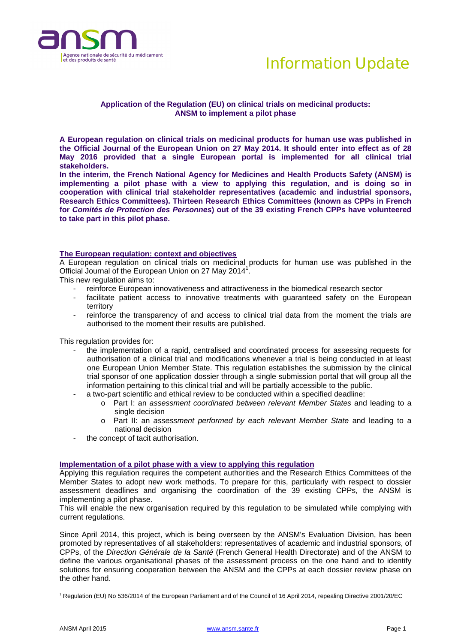



# **Application of the Regulation (EU) on clinical trials on medicinal products: ANSM to implement a pilot phase**

**A European regulation on clinical trials on medicinal products for human use was published in the Official Journal of the European Union on 27 May 2014. It should enter into effect as of 28 May 2016 provided that a single European portal is implemented for all clinical trial stakeholders.** 

**In the interim, the French National Agency for Medicines and Health Products Safety (ANSM) is implementing a pilot phase with a view to applying this regulation, and is doing so in cooperation with clinical trial stakeholder representatives (academic and industrial sponsors, Research Ethics Committees). Thirteen Research Ethics Committees (known as CPPs in French for** *Comités de Protection des Personnes***) out of the 39 existing French CPPs have volunteered to take part in this pilot phase.** 

## **The European regulation: context and objectives**

A European regulation on clinical trials on medicinal products for human use was published in the Official Journal of the European Union on 27 May 2014<sup>1</sup>.

This new regulation aims to:

- reinforce European innovativeness and attractiveness in the biomedical research sector
- facilitate patient access to innovative treatments with quaranteed safety on the European territory
- reinforce the transparency of and access to clinical trial data from the moment the trials are authorised to the moment their results are published.

This regulation provides for:

- the implementation of a rapid, centralised and coordinated process for assessing requests for authorisation of a clinical trial and modifications whenever a trial is being conducted in at least one European Union Member State. This regulation establishes the submission by the clinical trial sponsor of one application dossier through a single submission portal that will group all the information pertaining to this clinical trial and will be partially accessible to the public.
- a two-part scientific and ethical review to be conducted within a specified deadline:
	- o Part I: an *assessment coordinated between relevant Member States* and leading to a single decision
	- o Part II: an *assessment performed by each relevant Member State* and leading to a national decision
- the concept of tacit authorisation.

### **Implementation of a pilot phase with a view to applying this regulation**

Applying this regulation requires the competent authorities and the Research Ethics Committees of the Member States to adopt new work methods. To prepare for this, particularly with respect to dossier assessment deadlines and organising the coordination of the 39 existing CPPs, the ANSM is implementing a pilot phase.

This will enable the new organisation required by this regulation to be simulated while complying with current regulations.

Since April 2014, this project, which is being overseen by the ANSM's Evaluation Division, has been promoted by representatives of all stakeholders: representatives of academic and industrial sponsors, of CPPs, of the *Direction Générale de la Santé* (French General Health Directorate) and of the ANSM to define the various organisational phases of the assessment process on the one hand and to identify solutions for ensuring cooperation between the ANSM and the CPPs at each dossier review phase on the other hand.

<sup>1</sup> Regulation (EU) No 536/2014 of the European Parliament and of the Council of 16 April 2014, repealing Directive 2001/20/EC